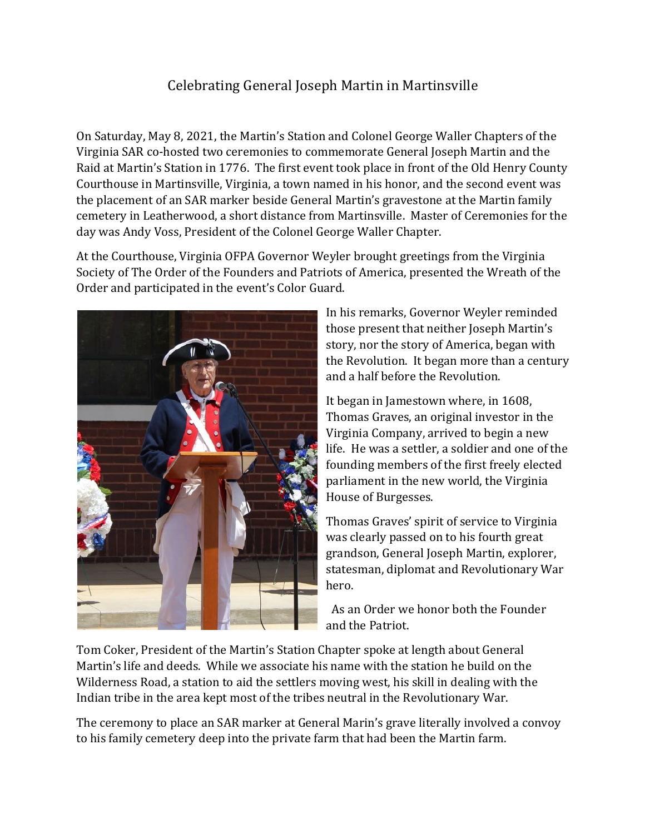## Celebrating General Joseph Martin in Martinsville

On Saturday, May 8, 2021, the Martin's Station and Colonel George Waller Chapters of the Virginia SAR co-hosted two ceremonies to commemorate General Joseph Martin and the Raid at Martin's Station in 1776. The first event took place in front of the Old Henry County Courthouse in Martinsville, Virginia, a town named in his honor, and the second event was the placement of an SAR marker beside General Martin's gravestone at the Martin family cemetery in Leatherwood, a short distance from Martinsville. Master of Ceremonies for the day was Andy Voss, President of the Colonel George Waller Chapter.

At the Courthouse, Virginia OFPA Governor Weyler brought greetings from the Virginia Society of The Order of the Founders and Patriots of America, presented the Wreath of the Order and participated in the event's Color Guard.



In his remarks, Governor Weyler reminded those present that neither Joseph Martin's story, nor the story of America, began with the Revolution. It began more than a century and a half before the Revolution.

It began in Jamestown where, in 1608, Thomas Graves, an original investor in the Virginia Company, arrived to begin a new life. He was a settler, a soldier and one of the founding members of the first freely elected parliament in the new world, the Virginia House of Burgesses.

Thomas Graves' spirit of service to Virginia was clearly passed on to his fourth great grandson, General Joseph Martin, explorer, statesman, diplomat and Revolutionary War hero.

As an Order we honor both the Founder and the Patriot.

Tom Coker, President of the Martin's Station Chapter spoke at length about General Martin's life and deeds. While we associate his name with the station he build on the Wilderness Road, a station to aid the settlers moving west, his skill in dealing with the Indian tribe in the area kept most of the tribes neutral in the Revolutionary War.

The ceremony to place an SAR marker at General Marin's grave literally involved a convoy to his family cemetery deep into the private farm that had been the Martin farm.